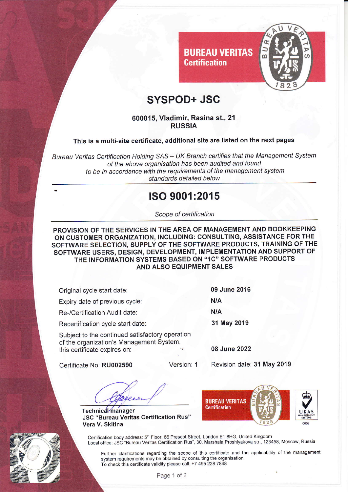

# SYSPOD+ JSC

**BUREAU VERITAS** 

**Certification** 

#### 600015, Vladimir, Rasina st., 21 **RUSSIA**

### This is a multi-site certificate, additional site are listed on the next pages

Bureau Veritas Certification Holding SAS - UK Branch certifies that the Management System of the above organisation has been audited and found to be in accordance with the requirements of the management system standards detailed below

### ISO 9001:2015

Scope of certification

PROVISION OF THE SERVICES IN THE AREA OF MANAGEMENT AND BOOKKEEPING ON CUSTOMER ORGANIZATION, INCLUDING: CONSULTING, ASSISTANCE FOR THE SOFTWARE SELECTION, SUPPLY OF THE SOFTWARE PRODUCTS, TRAINING OF THE SOFTWARE USERS, DESIGN, DEVELOPMENT, IMPLEMENTATION AND SUPPORT OF THE INFORMATION SYSTEMS BASED ON "1C" SOFTWARE PRODUCTS AND ALSO EQUIPMENT SALES

| Original cycle start date:                                                                                                  | 09 June 2016 |
|-----------------------------------------------------------------------------------------------------------------------------|--------------|
| Expiry date of previous cycle:                                                                                              | <b>N/A</b>   |
| Re-/Certification Audit date:                                                                                               | N/A          |
| Recertification cycle start date:                                                                                           | 31 May 2019  |
| Subject to the continued satisfactory operation<br>of the organization's Management System,<br>this certificate expires on: | 08 June 2022 |

Certificate No: RU002590

Version: 1

Revision date: 31 May 2019

Technical manager **JSC "Bureau Veritas Certification Rus"** Vera V. Skitina



Certification body address: 5<sup>th</sup> Floor, 66 Prescot Street, London E1 8HG, United Kingdom Local office: JSC "Bureau Veritas Certification Rus", 30, Marshala Proshlyakova str., 123458, Moscow, Russia

Further clarifications regarding the scope of this certificate and the applicability of the management system requirements may be obtained by consulting the organisation. To check this certificate validity please call: +7 495 228 7848